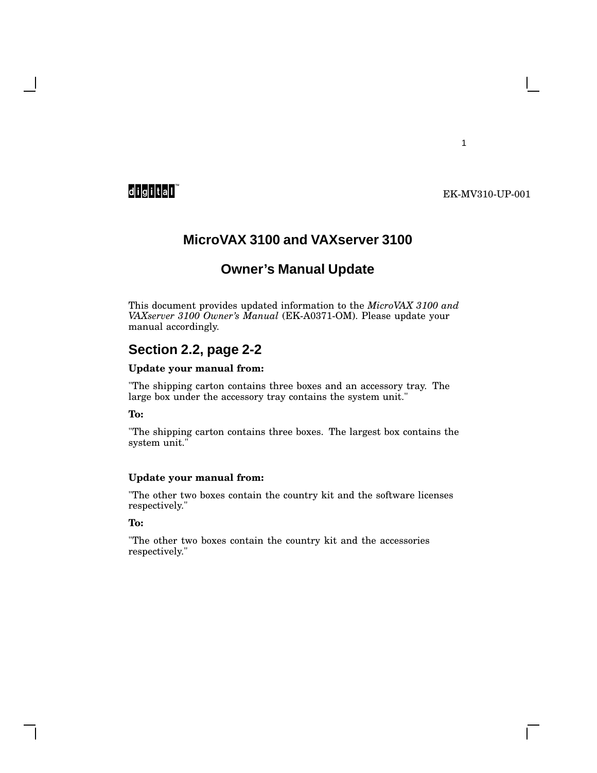### EK-MV310-UP-001

1

## **MicroVAX 3100 and VAXserver 3100**

## **Owner's Manual Update**

This document provides updated information to the *MicroVAX 3100 and VAXserver 3100 Owner's Manual* (EK-A0371-OM). Please update your manual accordingly.

### **Section 2.2, page 2-2**

#### **Update your manual from:**

"The shipping carton contains three boxes and an accessory tray. The large box under the accessory tray contains the system unit."

#### **To:**

"The shipping carton contains three boxes. The largest box contains the system unit."

#### **Update your manual from:**

"The other two boxes contain the country kit and the software licenses respectively."

#### **To:**

"The other two boxes contain the country kit and the accessories respectively."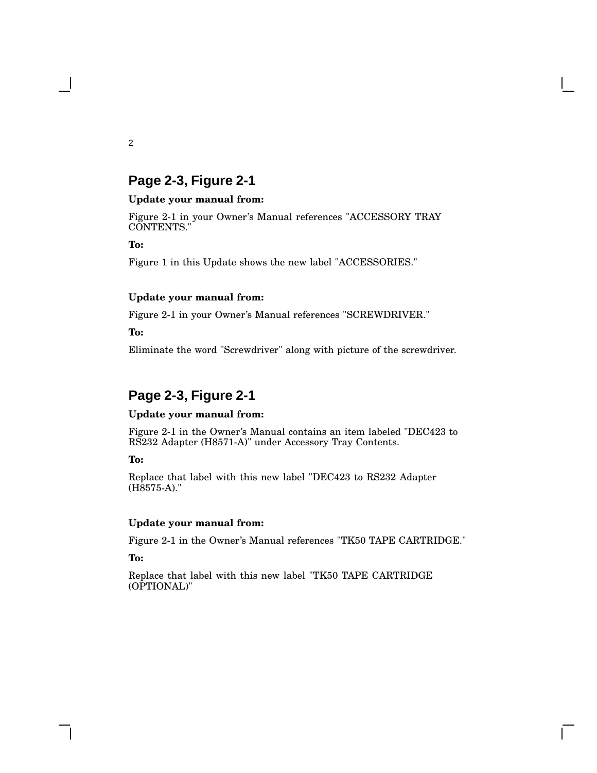## **Page 2-3, Figure 2-1**

#### **Update your manual from:**

Figure 2-1 in your Owner's Manual references "ACCESSORY TRAY CONTENTS."

**To:**

Figure 1 in this Update shows the new label "ACCESSORIES."

### **Update your manual from:**

Figure 2-1 in your Owner's Manual references "SCREWDRIVER."

**To:**

Eliminate the word "Screwdriver" along with picture of the screwdriver.

# **Page 2-3, Figure 2-1**

### **Update your manual from:**

Figure 2-1 in the Owner's Manual contains an item labeled "DEC423 to RS232 Adapter (H8571-A)" under Accessory Tray Contents.

**To:**

Replace that label with this new label "DEC423 to RS232 Adapter (H8575-A)."

### **Update your manual from:**

Figure 2-1 in the Owner's Manual references "TK50 TAPE CARTRIDGE."

**To:**

Replace that label with this new label "TK50 TAPE CARTRIDGE (OPTIONAL)"

2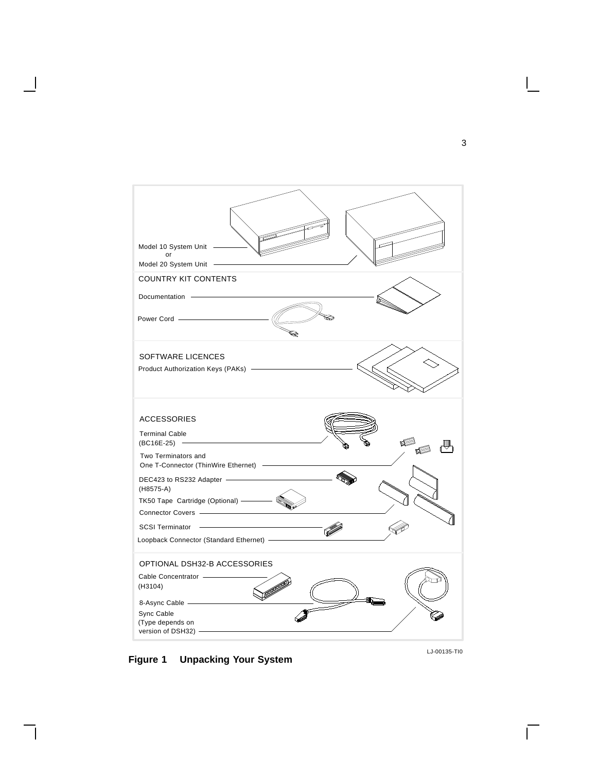

**Figure 1 Unpacking Your System**

LJ-00135-TI0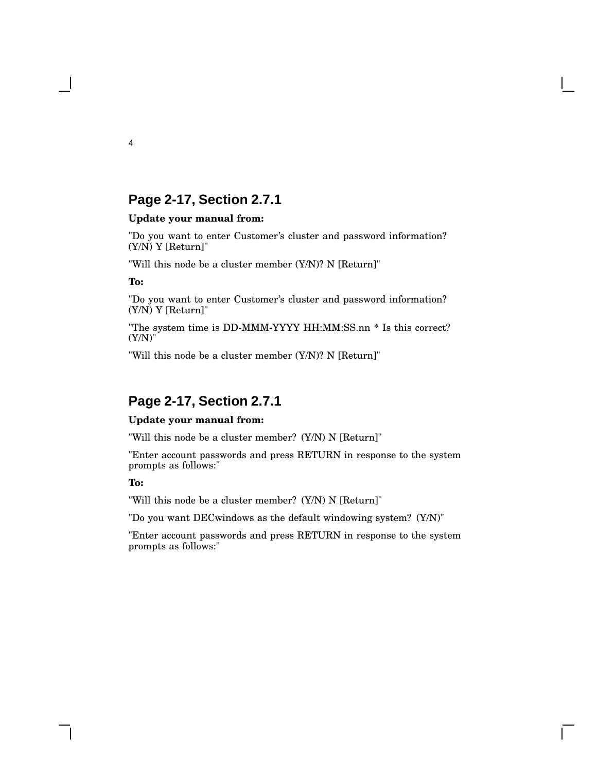## **Page 2-17, Section 2.7.1**

#### **Update your manual from:**

"Do you want to enter Customer's cluster and password information? (Y/N) Y [Return]"

"Will this node be a cluster member (Y/N)? N [Return]"

**To:**

"Do you want to enter Customer's cluster and password information? (Y/N) Y [Return]"

"The system time is DD-MMM-YYYY HH:MM:SS.nn \* Is this correct? (Y/N)"

"Will this node be a cluster member (Y/N)? N [Return]"

# **Page 2-17, Section 2.7.1**

#### **Update your manual from:**

"Will this node be a cluster member? (Y/N) N [Return]"

"Enter account passwords and press RETURN in response to the system prompts as follows:"

**To:**

"Will this node be a cluster member? (Y/N) N [Return]"

"Do you want DECwindows as the default windowing system? (Y/N)"

"Enter account passwords and press RETURN in response to the system prompts as follows:"

4